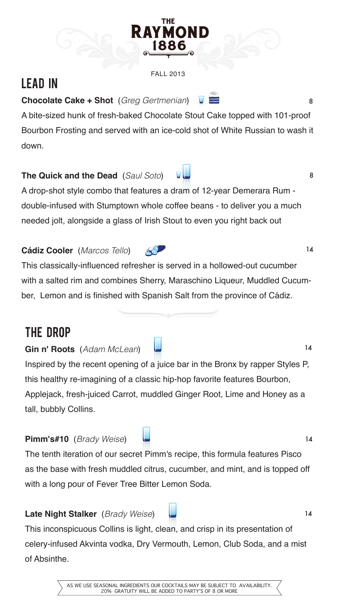

#### FALL 2013

# LEAD IN

### **Chocolate Cake + Shot** (*Greg Gertmenian*)

A bite-sized hunk of fresh-baked Chocolate Stout Cake topped with 101-proof Bourbon Frosting and served with an ice-cold shot of White Russian to wash it down.

#### **The Quick and the Dead** (*Saul Soto*)

A drop-shot style combo that features a dram of 12-year Demerara Rum double-infused with Stumptown whole coffee beans - to deliver you a much needed jolt, alongside a glass of Irish Stout to even you right back out

### **Cádiz Cooler** (*Marcos Tello*)

**Gin n' Roots** (*Adam McLean*)

This classically-influenced refresher is served in a hollowed-out cucumber with a salted rim and combines Sherry, Maraschino Liqueur, Muddled Cucumber, Lemon and is finished with Spanish Salt from the province of Cádiz.

## THE DROP

Inspired by the recent opening of a juice bar in the Bronx by rapper Styles P, this healthy re-imagining of a classic hip-hop favorite features Bourbon, Applejack, fresh-juiced Carrot, muddled Ginger Root, Lime and Honey as a tall, bubbly Collins.

#### **Pimm's#10** (*Brady Weise*)

The tenth iteration of our secret Pimm's recipe, this formula features Pisco as the base with fresh muddled citrus, cucumber, and mint, and is topped off with a long pour of Fever Tree Bitter Lemon Soda.

### **Late Night Stalker** (*Brady Weise*)

This inconspicuous Collins is light, clean, and crisp in its presentation of celery-infused Akvinta vodka, Dry Vermouth, Lemon, Club Soda, and a mist of Absinthe.

> AS WE USE SEASONAL INGREDIENTS OUR COCKTAILS MAY BE SUBJECT TO AVAILABILITY. 20% GRATUITY WILL BE ADDED TO PARTY'S OF 8 OR MORE

14

14

14

8

8

14